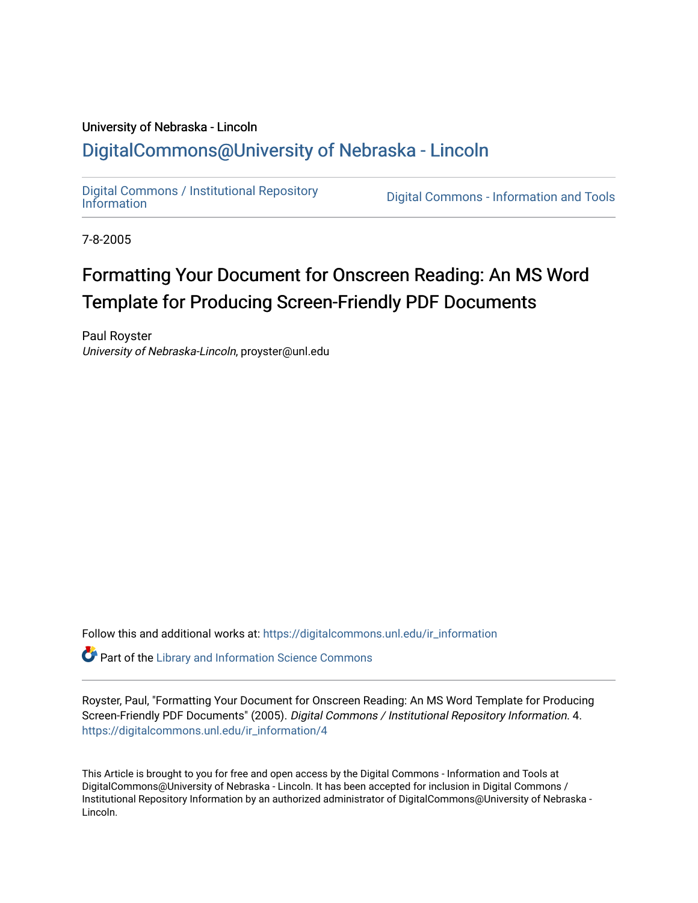# University of Nebraska - Lincoln [DigitalCommons@University of Nebraska - Lincoln](https://digitalcommons.unl.edu/)

[Digital Commons / Institutional Repository](https://digitalcommons.unl.edu/ir_information)

Digital Commons - [Information](https://digitalcommons.unl.edu/ir_information) and Tools

7-8-2005

# Formatting Your Document for Onscreen Reading: An MS Word Template for Producing Screen-Friendly PDF Documents

Paul Royster University of Nebraska-Lincoln, proyster@unl.edu

Follow this and additional works at: [https://digitalcommons.unl.edu/ir\\_information](https://digitalcommons.unl.edu/ir_information?utm_source=digitalcommons.unl.edu%2Fir_information%2F4&utm_medium=PDF&utm_campaign=PDFCoverPages) 

**Part of the Library and Information Science Commons** 

Royster, Paul, "Formatting Your Document for Onscreen Reading: An MS Word Template for Producing Screen-Friendly PDF Documents" (2005). Digital Commons / Institutional Repository Information. 4. [https://digitalcommons.unl.edu/ir\\_information/4](https://digitalcommons.unl.edu/ir_information/4?utm_source=digitalcommons.unl.edu%2Fir_information%2F4&utm_medium=PDF&utm_campaign=PDFCoverPages)

This Article is brought to you for free and open access by the Digital Commons - Information and Tools at DigitalCommons@University of Nebraska - Lincoln. It has been accepted for inclusion in Digital Commons / Institutional Repository Information by an authorized administrator of DigitalCommons@University of Nebraska - Lincoln.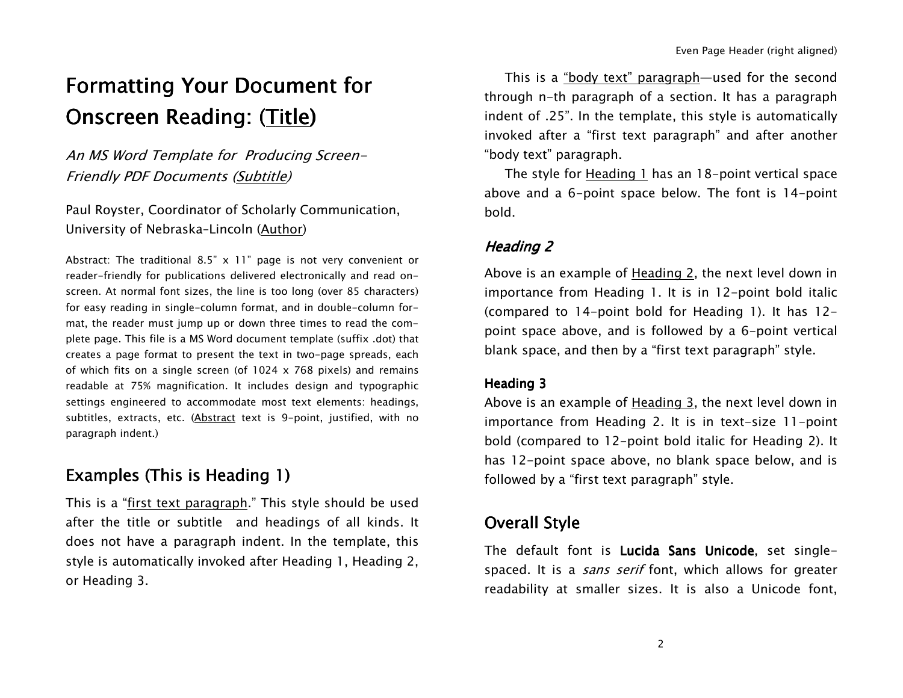# Formatting Your Document for Onscreen Reading: (<u>Title</u>)

An MS Word Template for Producing Screen-Friendly PDF Documents (Subtitle)

Paul Royster, Coordinator of Scholarly Communication, University of Nebraska–Lincoln (Author)

Abstract: The traditional 8.5" <sup>x</sup> 11" page is not very convenient or reader-friendly for publications delivered electronically and read onscreen. At normal font sizes, the line is too long (over 85 characters) for easy reading in single-column format, and in double-column format, the reader must jump up or down three times to read the complete page. This file is <sup>a</sup> MS Word document template (suffix .dot) that creates a page format to present the text in two-page spreads, each of which fits on <sup>a</sup> single screen (of 1024 <sup>x</sup> 768 pixels) and remains readable at 75% magnification. It includes design and typographic settings engineered to accommodate most text elements: headings, subtitles, extracts, etc. (Abstract text is 9-point, justified, with no paragraph indent.)

# Examples (This is Heading 1)

This is a "<u>first text paragraph</u>." This style should be used after the title or subtitle and headings of all kinds. It does not have <sup>a</sup> paragraph indent. In the template, this style is automatically invoked after Heading 1, Heading 2, or Heading 3.

This is a <u>"body text" paragraph</u>—used for the second through n-th paragraph of <sup>a</sup> section. It has <sup>a</sup> paragraph indent of .25". In the template, this style is automatically invoked after <sup>a</sup> "first text paragraph" and after another "body text" paragraph.

The style for <u>Heading 1</u> has an 18-point vertical space above and <sup>a</sup> 6-point space below. The font is 14-point bold.

### Heading 2

Above is an example of <u>Heading 2,</u> the next level down in importance from Heading 1. It is in 12-point bold italic (compared to 14-point bold for Heading 1). It has 12 point space above, and is followed by <sup>a</sup> 6-point vertical blank space, and then by <sup>a</sup> "first text paragraph" style.

#### Heading 3

Above is an example of <u>Heading 3,</u> the next level down in importance from Heading 2. It is in text-size 11-point bold (compared to 12-point bold italic for Heading 2). It has 12-point space above, no blank space below, and is followed by <sup>a</sup> "first text paragraph" style.

# Overall Style

The default font is **Lucida Sans Unicode**, set singlespaced. It is a *sans serif* font, which allows for greater readability at smaller sizes. It is also <sup>a</sup> Unicode font,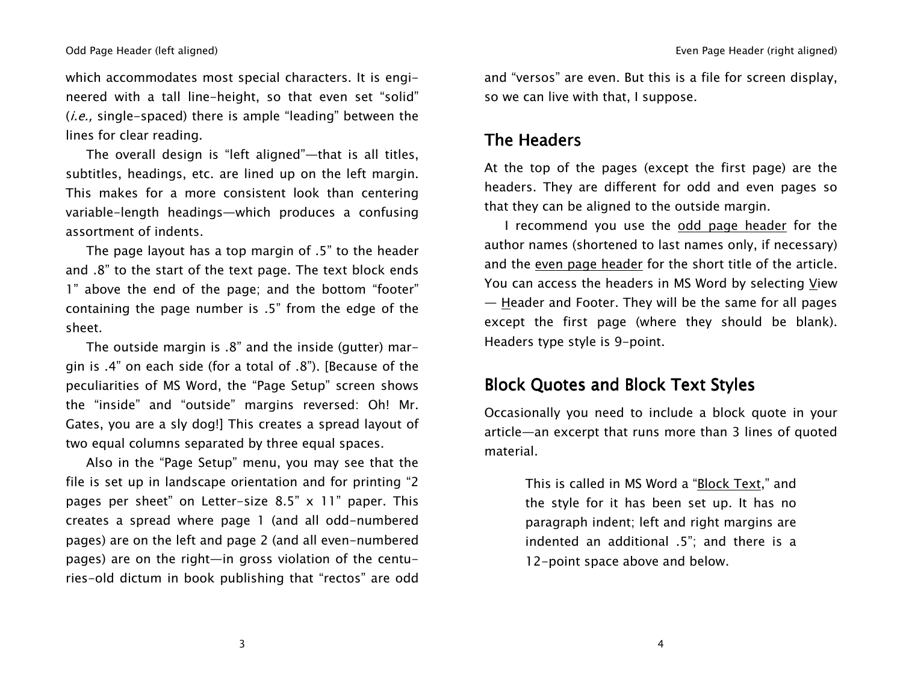which accommodates most special characters. It is engineered with <sup>a</sup> tall line-height, so that even set "solid"  $(i.e., single-spaced)$  there is ample "leading" between the lines for clear reading.

The overall design is "left aligned"—that is all titles, subtitles, headings, etc. are lined up on the left margin. This makes for <sup>a</sup> more consistent look than centering variable-length headings—which produces <sup>a</sup> confusing assortment of indents.

The page layout has <sup>a</sup> top margin of .5" to the header and .8" to the start of the text page. The text block ends 1" above the end of the page; and the bottom "footer" containing the page number is .5" from the edge of the sheet.

The outside margin is .8" and the inside (gutter) margin is .4" on each side (for <sup>a</sup> total of .8"). [Because of the peculiarities of MS Word, the "Page Setup" screen shows the "inside" and "outside" margins reversed: Oh! Mr. Gates, you are <sup>a</sup> sly dog!] This creates <sup>a</sup> spread layout of two equal columns separated by three equal spaces.

Also in the "Page Setup" menu, you may see that the file is set up in landscape orientation and for printing "2 pages per sheet" on Letter-size 8.5" <sup>x</sup> 11" paper. This creates a spread where page 1 (and all odd-numbered pages) are on the left and page 2 (and all even-numbered pages) are on the right—in gross violation of the centuries-old dictum in book publishing that "rectos" are odd

and "versos" are even. But this is <sup>a</sup> file for screen display, so we can live with that, I suppose.

### The Headers

At the top of the pages (except the first page) are the headers. They are different for odd and even pages so that they can be aligned to the outside margin.

II recommend you use the <u>odd page header</u> for the author names (shortened to last names only, if necessary) and the <u>even page header</u> for the short title of the article. You can access the headers in MS Word by selecting <u>V</u>iew — <u>H</u>eader and Footer. They will be the same for all pages except the first page (where they should be blank). Headers type style is 9-point.

### Block Quotes and Block Text Styles

Occasionally you need to include <sup>a</sup> block quote in your article—an excerpt that runs more than 3 lines of quoted material.

> This is called in MS Word a "<u>Block Text</u>," and the style for it has been set up. It has no paragraph indent; left and right margins are indented an additional .5"; and there is <sup>a</sup> 12-point space above and below.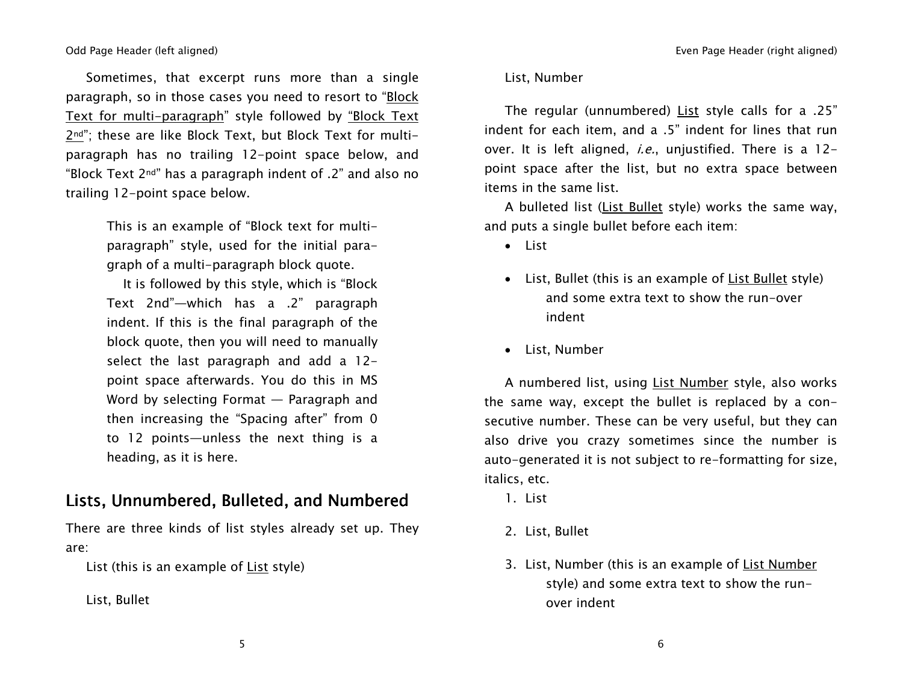Sometimes, that excerpt runs more than <sup>a</sup> single paragraph, so in those cases you need to resort to "Block Text for multi-paragraph" style followed by "Block Text 2nd"; these are like Block Text, but Block Text for multiparagraph has no trailing 12-point space below, and "Block Text 2nd" has <sup>a</sup> paragraph indent of .2" and also no trailing 12-point space below.

> This is an example of "Block text for multiparagraph" style, used for the initial paragraph of <sup>a</sup> multi-paragraph block quote.

It is followed by this style, which is "Block Text 2nd"—which has <sup>a</sup> .2" paragraph indent. If this is the final paragraph of the block quote, then you will need to manually select the last paragraph and add <sup>a</sup> 12 point space afterwards. You do this in MS Word by selecting Format — Paragraph and then increasing the "Spacing after" from 0 to 12 points—unless the next thing is <sup>a</sup> heading, as it is here.

### Lists, Unnumbered, Bulleted, and Numbered

There are three kinds of list styles already set up. They are:

List (this is an example of <u>List</u> style)

List, Bullet

#### List, Number

The regular (unnumbered) List style calls for <sup>a</sup> .25" indent for each item, and <sup>a</sup> .5" indent for lines that run over. It is left aligned, *i.e.*, unjustified. There is a 12point space after the list, but no extra space between items in the same list.

A bulleted list (<u>List Bullet</u> style) works the same way, and puts <sup>a</sup> single bullet before each item:

- List
- List, Bullet (this is an example of List Bullet style) and some extra text to show the run-over indent
- List, Number

A numbered list, using <u>List Number</u> style, also works the same way, except the bullet is replaced by <sup>a</sup> consecutive number. These can be very useful, but they can also drive you crazy sometimes since the number is auto-generated it is not subject to re-formatting for size, italics, etc.

- 1. List
- 2. List, Bullet
- 3. List, Number (this is an example of <u>List Number</u> style) and some extra text to show the runover indent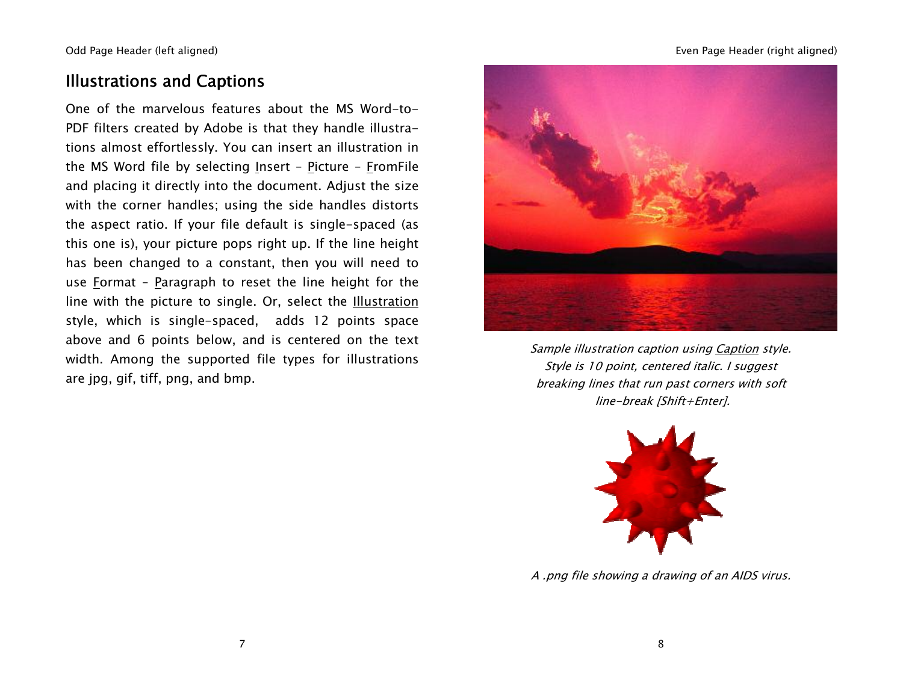# Illustrations and Captions

One of the marvelous features about the MS Word-to-PDF filters created by Adobe is that they handle illustrations almost effortlessly. You can insert an illustration in the MS Word file by selecting <u>I</u>nsert – <u>P</u>icture – <u>F</u>romFile and placing it directly into the document. Adjust the size with the corner handles; using the side handles distorts the aspect ratio. If your file default is single-spaced (as this one is), your picture pops right up. If the line height has been changed to <sup>a</sup> constant, then you will need to use <u>F</u>ormat - <u>P</u>aragraph to reset the line height for the line with the picture to single. Or, select the <u>Illustration</u> style, which is single-spaced, adds 12 points space above and 6 points below, and is centered on the text width. Among the supported file types for illustrations are jpg, gif, tiff, png, and bmp.



Sample illustration caption using Caption style. Style is 10 point, centered italic. I suggest breaking lines that run past corners with soft line-break [Shift+Enter].



A .png file showing <sup>a</sup> drawing of an AIDS virus.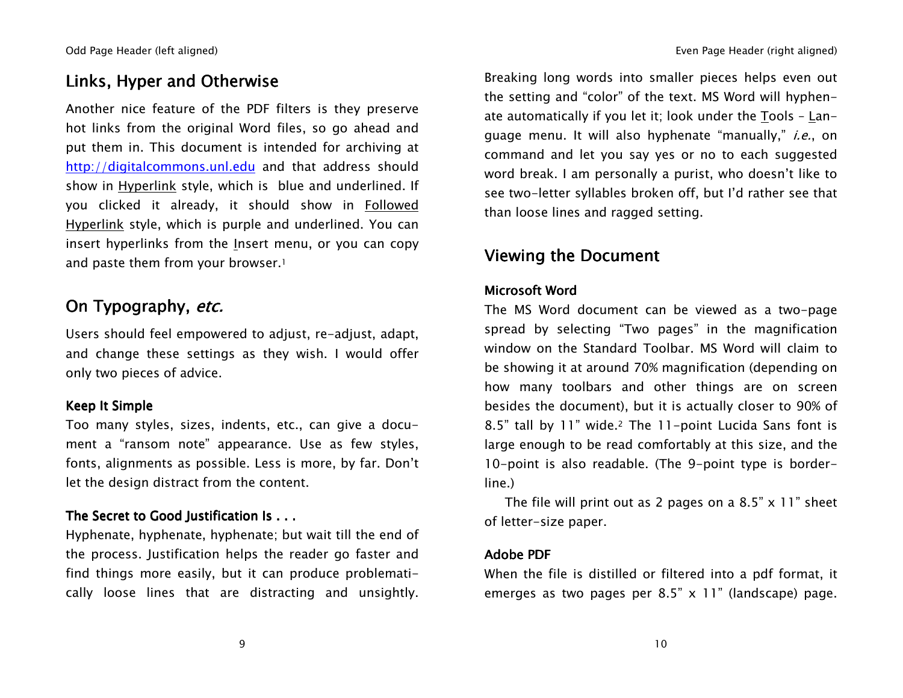# Links, Hyper and Otherwise

Another nice feature of the PDF filters is they preserve hot links from the original Word files, so go ahead and put them in. This document is intended for archiving at http://digitalcommons.unl.edu and that address should show in <u>Hyperlink</u> style, which is )blue and underlined. If you clicked it already, it should show in Followed Hyperlink style, which is purple and underlined. You can insert hyperlinks from the <u>I</u>nsert menu, or you can copy and paste them from your browser.1

# On Typography, *etc.*

Users should feel empowered to adjust, re-adjust, adapt, and change these settings as they wish. I would offer only two pieces of advice.

#### Keep It Simple

Too many styles, sizes, indents, etc., can give <sup>a</sup> document a "ransom note" appearance. Use as few styles, fonts, alignments as possible. Less is more, by far. Don't let the design distract from the content.

### The Secret to Good Justification Is . . .

Hyphenate, hyphenate, hyphenate; but wait till the end of the process. Justification helps the reader go faster and find things more easily, but it can produce problematically loose lines that are distracting and unsightly. Breaking long words into smaller pieces helps even out the setting and "color" of the text. MS Word will hyphenate automatically if you let it; look under the <u>T</u>ools - <u>L</u>anguage menu. It will also hyphenate "manually," *i.e.*, on command and let you say yes or no to each suggested word break. I am personally <sup>a</sup> purist, who doesn't like to see two-letter syllables broken off, but I'd rather see that than loose lines and ragged setting.

# Viewing the Document

#### Microsoft Word

The MS Word document can be viewed as <sup>a</sup> two-page spread by selecting "Two pages" in the magnification window on the Standard Toolbar. MS Word will claim to be showing it at around 70% magnification (depending on how many toolbars and other things are on screen besides the document), but it is actually closer to 90% of 8.5" tall by 11" wide.2 The 11-point Lucida Sans font is large enough to be read comfortably at this size, and the 10-point is also readable. (The 9-point type is borderline.)

The file will print out as 2 pages on <sup>a</sup> 8.5" <sup>x</sup> 11" sheet of letter-size paper.

#### Adobe PDF

When the file is distilled or filtered into <sup>a</sup> pdf format, it emerges as two pages per 8.5" <sup>x</sup> 11" (landscape) page.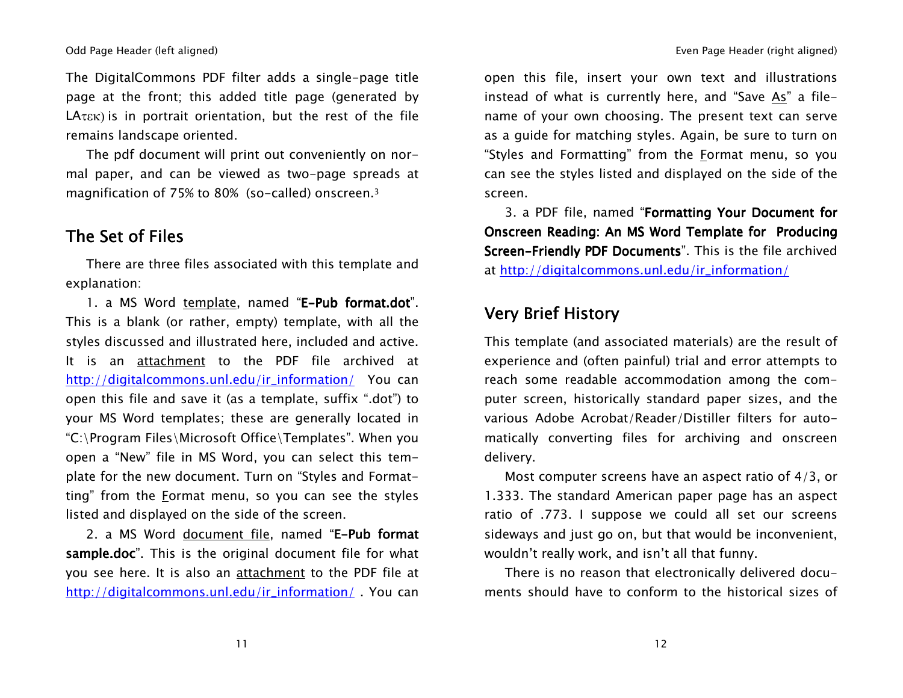The DigitalCommons PDF filter adds <sup>a</sup> single-page title page at the front; this added title page (generated by  $L$ A $\tau$  $\epsilon$  $\kappa$ ) is in portrait orientation, but the rest of the file remains landscape oriented.

The pdf document will print out conveniently on normal paper, and can be viewed as two-page spreads at magnification of 75% to 80% (so-called) onscreen.<sup>3</sup>

## The Set of Files

There are three files associated with this template and explanation:

1. a MS Word <u>template,</u> named "**E-Pub format.dot**". This is a blank (or rather, empty) template, with all the styles discussed and illustrated here, included and active. It is an attachment to the PDF file archived at http://digitalcommons.unl.edu/ir\_information/ You can open this file and save it (as <sup>a</sup> template, suffix ".dot") to your MS Word templates; these are generally located in "C:\Program Files\Microsoft Office\Templates". When you open <sup>a</sup> "New" file in MS Word, you can select this template for the new document. Turn on "Styles and Formatting" from the Format menu, so you can see the styles listed and displayed on the side of the screen.

2. a MS Word <u>document file</u>, named "**E-Pub format** sample.doc". This is the original document file for what you see here. It is also an attachment to the PDF file at http://digitalcommons.unl.edu/ir\_information/ . You can open this file, insert your own text and illustrations instead of what is currently here, and "Save <u>As</u>" a filename of your own choosing. The present text can serve as a guide for matching styles. Again, be sure to turn on "Styles and Formatting" from the Format menu, so you can see the styles listed and displayed on the side of the screen.

3. a PDF file, named "Formatting Your Document for Onscreen Reading: An MS Word Template for Producing Screen-Friendly PDF Documents". This is the file archived at <u>http://digitalcommons.unl.edu/ir\_information/</u>

# Very Brief History

This template (and associated materials) are the result of experience and (often painful) trial and error attempts to reach some readable accommodation among the computer screen, historically standard paper sizes, and the various Adobe Acrobat/Reader/Distiller filters for automatically converting files for archiving and onscreen delivery.

Most computer screens have an aspect ratio of 4/3, or 1.333. The standard American paper page has an aspect ratio of .773. I suppose we could all set our screens sideways and just go on, but that would be inconvenient, wouldn't really work, and isn't all that funny.

There is no reason that electronically delivered documents should have to conform to the historical sizes of